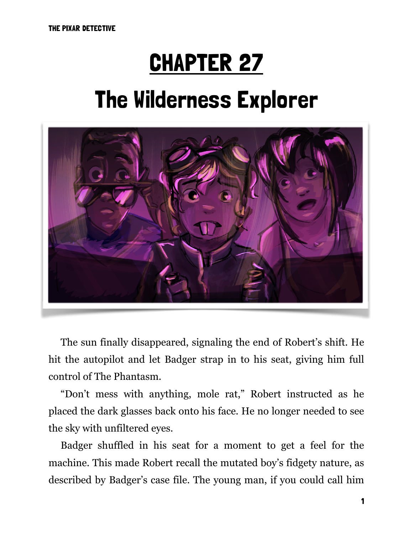## CHAPTER 27

# The Wilderness Explorer



The sun finally disappeared, signaling the end of Robert's shift. He hit the autopilot and let Badger strap in to his seat, giving him full control of The Phantasm.

"Don't mess with anything, mole rat," Robert instructed as he placed the dark glasses back onto his face. He no longer needed to see the sky with unfiltered eyes.

Badger shuffled in his seat for a moment to get a feel for the machine. This made Robert recall the mutated boy's fidgety nature, as described by Badger's case file. The young man, if you could call him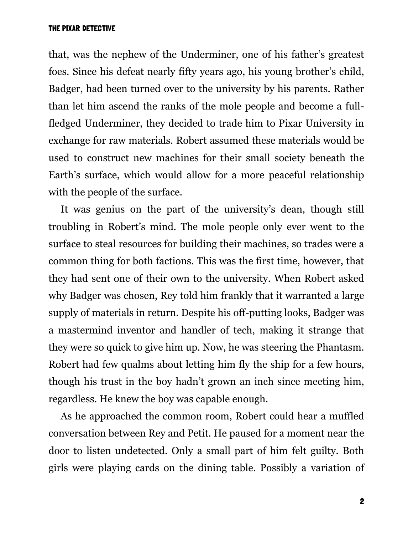that, was the nephew of the Underminer, one of his father's greatest foes. Since his defeat nearly fifty years ago, his young brother's child, Badger, had been turned over to the university by his parents. Rather than let him ascend the ranks of the mole people and become a fullfledged Underminer, they decided to trade him to Pixar University in exchange for raw materials. Robert assumed these materials would be used to construct new machines for their small society beneath the Earth's surface, which would allow for a more peaceful relationship with the people of the surface.

It was genius on the part of the university's dean, though still troubling in Robert's mind. The mole people only ever went to the surface to steal resources for building their machines, so trades were a common thing for both factions. This was the first time, however, that they had sent one of their own to the university. When Robert asked why Badger was chosen, Rey told him frankly that it warranted a large supply of materials in return. Despite his off-putting looks, Badger was a mastermind inventor and handler of tech, making it strange that they were so quick to give him up. Now, he was steering the Phantasm. Robert had few qualms about letting him fly the ship for a few hours, though his trust in the boy hadn't grown an inch since meeting him, regardless. He knew the boy was capable enough.

As he approached the common room, Robert could hear a muffled conversation between Rey and Petit. He paused for a moment near the door to listen undetected. Only a small part of him felt guilty. Both girls were playing cards on the dining table. Possibly a variation of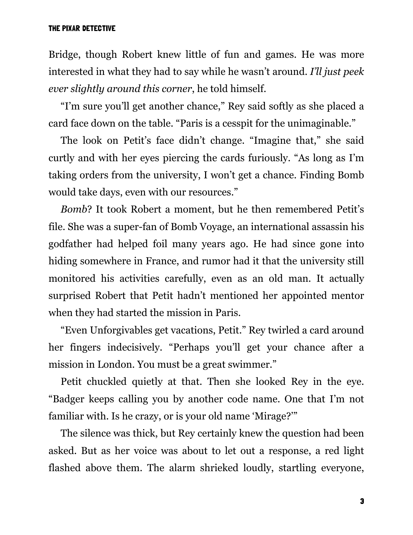Bridge, though Robert knew little of fun and games. He was more interested in what they had to say while he wasn't around. *I'll just peek ever slightly around this corner*, he told himself.

"I'm sure you'll get another chance," Rey said softly as she placed a card face down on the table. "Paris is a cesspit for the unimaginable."

The look on Petit's face didn't change. "Imagine that," she said curtly and with her eyes piercing the cards furiously. "As long as I'm taking orders from the university, I won't get a chance. Finding Bomb would take days, even with our resources."

*Bomb*? It took Robert a moment, but he then remembered Petit's file. She was a super-fan of Bomb Voyage, an international assassin his godfather had helped foil many years ago. He had since gone into hiding somewhere in France, and rumor had it that the university still monitored his activities carefully, even as an old man. It actually surprised Robert that Petit hadn't mentioned her appointed mentor when they had started the mission in Paris.

"Even Unforgivables get vacations, Petit." Rey twirled a card around her fingers indecisively. "Perhaps you'll get your chance after a mission in London. You must be a great swimmer."

Petit chuckled quietly at that. Then she looked Rey in the eye. "Badger keeps calling you by another code name. One that I'm not familiar with. Is he crazy, or is your old name 'Mirage?'"

The silence was thick, but Rey certainly knew the question had been asked. But as her voice was about to let out a response, a red light flashed above them. The alarm shrieked loudly, startling everyone,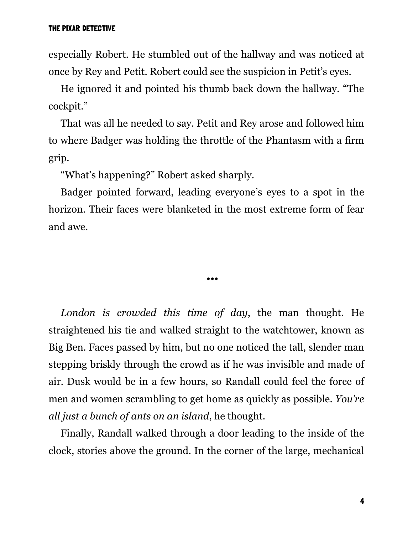especially Robert. He stumbled out of the hallway and was noticed at once by Rey and Petit. Robert could see the suspicion in Petit's eyes.

He ignored it and pointed his thumb back down the hallway. "The cockpit."

That was all he needed to say. Petit and Rey arose and followed him to where Badger was holding the throttle of the Phantasm with a firm grip.

"What's happening?" Robert asked sharply.

Badger pointed forward, leading everyone's eyes to a spot in the horizon. Their faces were blanketed in the most extreme form of fear and awe.

•••

*London is crowded this time of day*, the man thought. He straightened his tie and walked straight to the watchtower, known as Big Ben. Faces passed by him, but no one noticed the tall, slender man stepping briskly through the crowd as if he was invisible and made of air. Dusk would be in a few hours, so Randall could feel the force of men and women scrambling to get home as quickly as possible. *You're all just a bunch of ants on an island*, he thought.

Finally, Randall walked through a door leading to the inside of the clock, stories above the ground. In the corner of the large, mechanical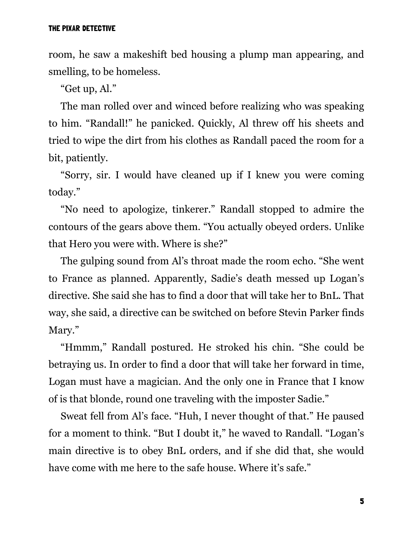room, he saw a makeshift bed housing a plump man appearing, and smelling, to be homeless.

"Get up, Al."

The man rolled over and winced before realizing who was speaking to him. "Randall!" he panicked. Quickly, Al threw off his sheets and tried to wipe the dirt from his clothes as Randall paced the room for a bit, patiently.

"Sorry, sir. I would have cleaned up if I knew you were coming today."

"No need to apologize, tinkerer." Randall stopped to admire the contours of the gears above them. "You actually obeyed orders. Unlike that Hero you were with. Where is she?"

The gulping sound from Al's throat made the room echo. "She went to France as planned. Apparently, Sadie's death messed up Logan's directive. She said she has to find a door that will take her to BnL. That way, she said, a directive can be switched on before Stevin Parker finds Mary."

"Hmmm," Randall postured. He stroked his chin. "She could be betraying us. In order to find a door that will take her forward in time, Logan must have a magician. And the only one in France that I know of is that blonde, round one traveling with the imposter Sadie."

Sweat fell from Al's face. "Huh, I never thought of that." He paused for a moment to think. "But I doubt it," he waved to Randall. "Logan's main directive is to obey BnL orders, and if she did that, she would have come with me here to the safe house. Where it's safe."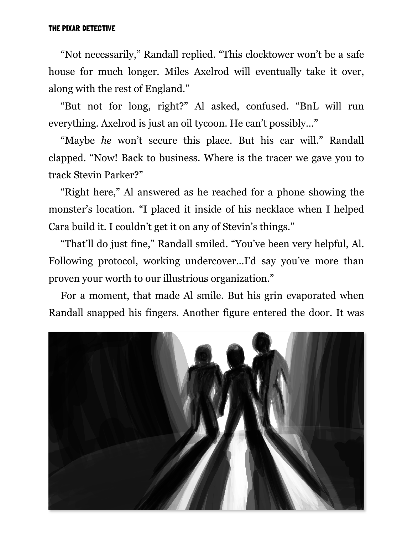"Not necessarily," Randall replied. "This clocktower won't be a safe house for much longer. Miles Axelrod will eventually take it over, along with the rest of England."

"But not for long, right?" Al asked, confused. "BnL will run everything. Axelrod is just an oil tycoon. He can't possibly…"

"Maybe *he* won't secure this place. But his car will." Randall clapped. "Now! Back to business. Where is the tracer we gave you to track Stevin Parker?"

"Right here," Al answered as he reached for a phone showing the monster's location. "I placed it inside of his necklace when I helped Cara build it. I couldn't get it on any of Stevin's things."

"That'll do just fine," Randall smiled. "You've been very helpful, Al. Following protocol, working undercover…I'd say you've more than proven your worth to our illustrious organization."

For a moment, that made Al smile. But his grin evaporated when Randall snapped his fingers. Another figure entered the door. It was

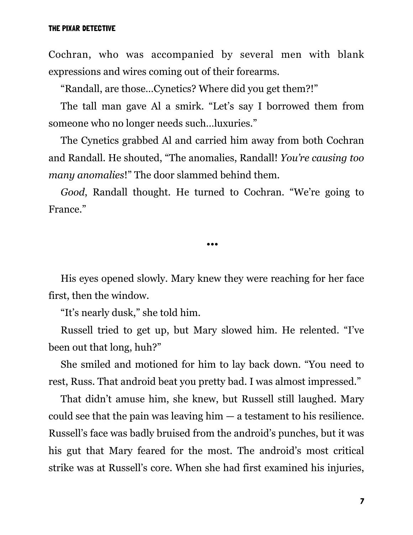Cochran, who was accompanied by several men with blank expressions and wires coming out of their forearms.

"Randall, are those…Cynetics? Where did you get them?!"

The tall man gave Al a smirk. "Let's say I borrowed them from someone who no longer needs such…luxuries."

The Cynetics grabbed Al and carried him away from both Cochran and Randall. He shouted, "The anomalies, Randall! *You're causing too many anomalies*!" The door slammed behind them.

*Good*, Randall thought. He turned to Cochran. "We're going to France."

•••

His eyes opened slowly. Mary knew they were reaching for her face first, then the window.

"It's nearly dusk," she told him.

Russell tried to get up, but Mary slowed him. He relented. "I've been out that long, huh?"

She smiled and motioned for him to lay back down. "You need to rest, Russ. That android beat you pretty bad. I was almost impressed."

That didn't amuse him, she knew, but Russell still laughed. Mary could see that the pain was leaving  $him - a$  testament to his resilience. Russell's face was badly bruised from the android's punches, but it was his gut that Mary feared for the most. The android's most critical strike was at Russell's core. When she had first examined his injuries,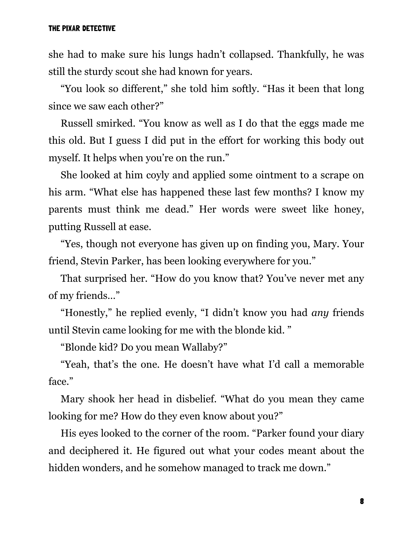she had to make sure his lungs hadn't collapsed. Thankfully, he was still the sturdy scout she had known for years.

"You look so different," she told him softly. "Has it been that long since we saw each other?"

Russell smirked. "You know as well as I do that the eggs made me this old. But I guess I did put in the effort for working this body out myself. It helps when you're on the run."

She looked at him coyly and applied some ointment to a scrape on his arm. "What else has happened these last few months? I know my parents must think me dead." Her words were sweet like honey, putting Russell at ease.

"Yes, though not everyone has given up on finding you, Mary. Your friend, Stevin Parker, has been looking everywhere for you."

That surprised her. "How do you know that? You've never met any of my friends…"

"Honestly," he replied evenly, "I didn't know you had *any* friends until Stevin came looking for me with the blonde kid. "

"Blonde kid? Do you mean Wallaby?"

"Yeah, that's the one. He doesn't have what I'd call a memorable face."

Mary shook her head in disbelief. "What do you mean they came looking for me? How do they even know about you?"

His eyes looked to the corner of the room. "Parker found your diary and deciphered it. He figured out what your codes meant about the hidden wonders, and he somehow managed to track me down."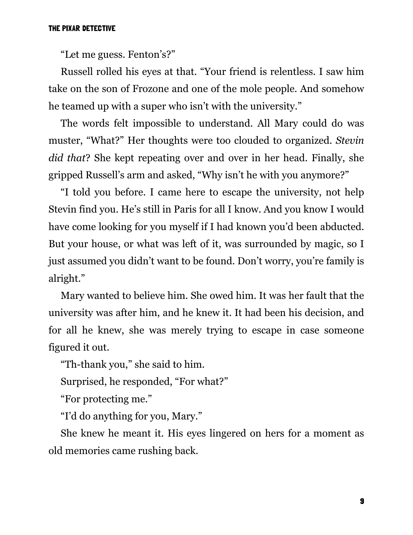"Let me guess. Fenton's?"

Russell rolled his eyes at that. "Your friend is relentless. I saw him take on the son of Frozone and one of the mole people. And somehow he teamed up with a super who isn't with the university."

The words felt impossible to understand. All Mary could do was muster, "What?" Her thoughts were too clouded to organized. *Stevin did that*? She kept repeating over and over in her head. Finally, she gripped Russell's arm and asked, "Why isn't he with you anymore?"

"I told you before. I came here to escape the university, not help Stevin find you. He's still in Paris for all I know. And you know I would have come looking for you myself if I had known you'd been abducted. But your house, or what was left of it, was surrounded by magic, so I just assumed you didn't want to be found. Don't worry, you're family is alright."

Mary wanted to believe him. She owed him. It was her fault that the university was after him, and he knew it. It had been his decision, and for all he knew, she was merely trying to escape in case someone figured it out.

"Th-thank you," she said to him.

Surprised, he responded, "For what?"

"For protecting me."

"I'd do anything for you, Mary."

She knew he meant it. His eyes lingered on hers for a moment as old memories came rushing back.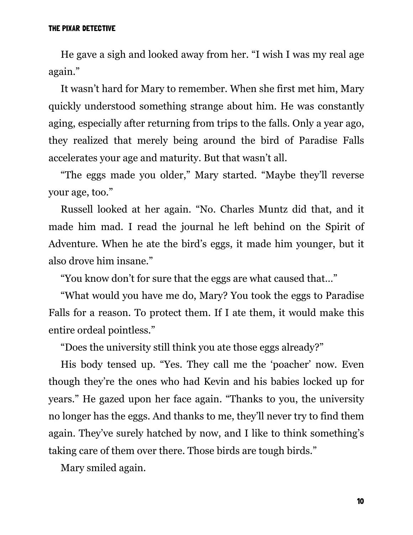He gave a sigh and looked away from her. "I wish I was my real age again."

It wasn't hard for Mary to remember. When she first met him, Mary quickly understood something strange about him. He was constantly aging, especially after returning from trips to the falls. Only a year ago, they realized that merely being around the bird of Paradise Falls accelerates your age and maturity. But that wasn't all.

"The eggs made you older," Mary started. "Maybe they'll reverse your age, too."

Russell looked at her again. "No. Charles Muntz did that, and it made him mad. I read the journal he left behind on the Spirit of Adventure. When he ate the bird's eggs, it made him younger, but it also drove him insane."

"You know don't for sure that the eggs are what caused that…"

"What would you have me do, Mary? You took the eggs to Paradise Falls for a reason. To protect them. If I ate them, it would make this entire ordeal pointless."

"Does the university still think you ate those eggs already?"

His body tensed up. "Yes. They call me the 'poacher' now. Even though they're the ones who had Kevin and his babies locked up for years." He gazed upon her face again. "Thanks to you, the university no longer has the eggs. And thanks to me, they'll never try to find them again. They've surely hatched by now, and I like to think something's taking care of them over there. Those birds are tough birds."

Mary smiled again.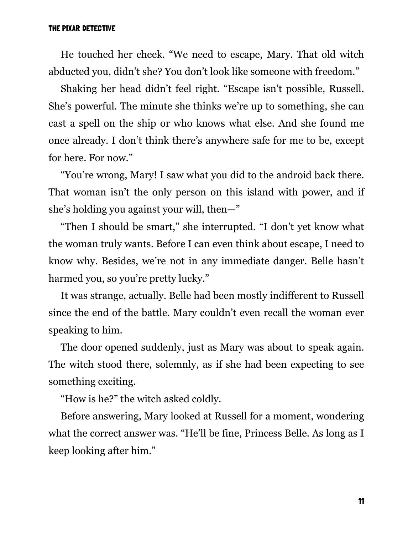He touched her cheek. "We need to escape, Mary. That old witch abducted you, didn't she? You don't look like someone with freedom."

Shaking her head didn't feel right. "Escape isn't possible, Russell. She's powerful. The minute she thinks we're up to something, she can cast a spell on the ship or who knows what else. And she found me once already. I don't think there's anywhere safe for me to be, except for here. For now."

"You're wrong, Mary! I saw what you did to the android back there. That woman isn't the only person on this island with power, and if she's holding you against your will, then—"

"Then I should be smart," she interrupted. "I don't yet know what the woman truly wants. Before I can even think about escape, I need to know why. Besides, we're not in any immediate danger. Belle hasn't harmed you, so you're pretty lucky."

It was strange, actually. Belle had been mostly indifferent to Russell since the end of the battle. Mary couldn't even recall the woman ever speaking to him.

The door opened suddenly, just as Mary was about to speak again. The witch stood there, solemnly, as if she had been expecting to see something exciting.

"How is he?" the witch asked coldly.

Before answering, Mary looked at Russell for a moment, wondering what the correct answer was. "He'll be fine, Princess Belle. As long as I keep looking after him."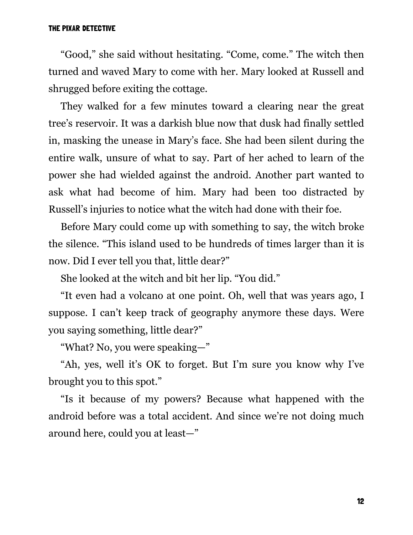"Good," she said without hesitating. "Come, come." The witch then turned and waved Mary to come with her. Mary looked at Russell and shrugged before exiting the cottage.

They walked for a few minutes toward a clearing near the great tree's reservoir. It was a darkish blue now that dusk had finally settled in, masking the unease in Mary's face. She had been silent during the entire walk, unsure of what to say. Part of her ached to learn of the power she had wielded against the android. Another part wanted to ask what had become of him. Mary had been too distracted by Russell's injuries to notice what the witch had done with their foe.

Before Mary could come up with something to say, the witch broke the silence. "This island used to be hundreds of times larger than it is now. Did I ever tell you that, little dear?"

She looked at the witch and bit her lip. "You did."

"It even had a volcano at one point. Oh, well that was years ago, I suppose. I can't keep track of geography anymore these days. Were you saying something, little dear?"

"What? No, you were speaking—"

"Ah, yes, well it's OK to forget. But I'm sure you know why I've brought you to this spot."

"Is it because of my powers? Because what happened with the android before was a total accident. And since we're not doing much around here, could you at least—"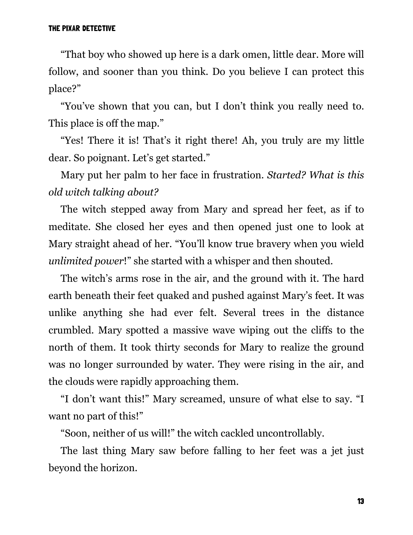"That boy who showed up here is a dark omen, little dear. More will follow, and sooner than you think. Do you believe I can protect this place?"

"You've shown that you can, but I don't think you really need to. This place is off the map."

"Yes! There it is! That's it right there! Ah, you truly are my little dear. So poignant. Let's get started."

Mary put her palm to her face in frustration. *Started? What is this old witch talking about?*

The witch stepped away from Mary and spread her feet, as if to meditate. She closed her eyes and then opened just one to look at Mary straight ahead of her. "You'll know true bravery when you wield *unlimited power*!" she started with a whisper and then shouted.

The witch's arms rose in the air, and the ground with it. The hard earth beneath their feet quaked and pushed against Mary's feet. It was unlike anything she had ever felt. Several trees in the distance crumbled. Mary spotted a massive wave wiping out the cliffs to the north of them. It took thirty seconds for Mary to realize the ground was no longer surrounded by water. They were rising in the air, and the clouds were rapidly approaching them.

"I don't want this!" Mary screamed, unsure of what else to say. "I want no part of this!"

"Soon, neither of us will!" the witch cackled uncontrollably.

The last thing Mary saw before falling to her feet was a jet just beyond the horizon.